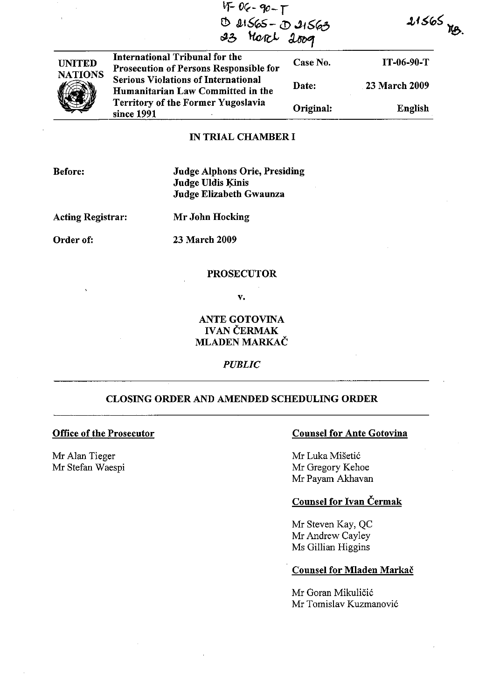| $\sim$         | $4 - 06 - 90 - 1$<br>D 21565 - D 21563<br>23 March 2009                         |           | $21565$ $-$          |  |
|----------------|---------------------------------------------------------------------------------|-----------|----------------------|--|
| <b>UNITED</b>  | International Tribunal for the<br>Prosecution of Persons Responsible for        | Case No.  | $IT-06-90-T$         |  |
| <b>NATIONS</b> | <b>Serious Violations of International</b><br>Humanitarian Law Committed in the | Date:     | <b>23 March 2009</b> |  |
|                | <b>Territory of the Former Yugoslavia</b><br>since 1991                         | Original: | English              |  |

## IN TRIAL CHAMBER I

Before:

Judge Alphons Orie, Presiding Judge Uldis Kinis Judge Elizabeth Gwaunza

Acting Registrar: Mr John Hocking

Order of: 23 March 2009

#### **PROSECUTOR**

v.

# ANTE GOTOVINA **IVAN ČERMAK** MLADEN MARKAC

# *PUBLIC*

## CLOSING ORDER AND AMENDED SCHEDULING ORDER

#### Office of the Prosecutor

Mr Alan Tieger Mr Stefan Waespi

#### Counsel for Ante Gotovina

Mr Luka Mišetić Mr Gregory Kehoe Mr Payam Akhavan

### Counsel for Ivan Cermak

Mr Steven Kay, QC Mr Andrew Cayley Ms Gillian Higgins

## Counsel for Mladen Markac

Mr Goran Mikuličić Mr Tomislav Kuzmanovi6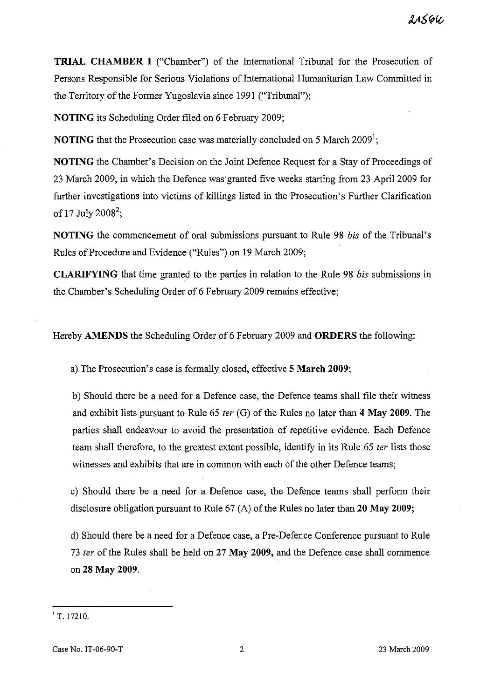$21566$ 

**TRIAL CHAMBER I** ("Chamber") of the International Tribunal for the Prosecution of Persons Responsible for Serious Violations of International Humanitarian Law Committed in the Territory of the Former Yugoslavia since 1991 ("Tribunal");

**NOTING** its Scheduling Order filed on 6 February 2009;

**NOTING** that the Prosecution case was materially concluded on 5 March 2009<sup>1</sup>;

**NOTING** the Chamber's Decision on the Joint Defence Request for a Stay of Proceedings of 23 March 2009, in which the Defence was'granted five weeks starting from 23 April 2009 for further investigations into victims of killings listed in the Prosecution's Further Clarification of 17 July 2008<sup>2</sup>;

**NOTING** the commencement of oral submissions pursuant to Rule 98 *bis* of the Tribunal's Rules of Procedure and Evidence ("Rules") on 19 March 2009;

**CLARIFYING** that time granted to the parties in relation to the Rule 98 *bis* submissions in the Chamber's Scheduling Order of 6 February 2009 remains effective;

Hereby **AMENDS** the Scheduling Order of 6 February 2009 and **ORDERS** the following:

a) The Prosecution's case is formally closed, effective **5 March 2009;** 

b) Should there be a need for a Defence case, the Defence teams shall file their witness and exhibit lists pursuant to Rule 65 fer (G) of the Rules no later than 4 May **2009.** The parties shall endeavour to avoid the presentation of repetitive evidence. Each Defence team shall therefore, to the greatest extent possible, identify in its Rule 65 *ter* lists those witnesses and exhibits that are in common with each of the other Defence teams;

c) Should there be a need for a Defence case, the Defence teams shall perform their disclosure obligation pursuant to Rule 67 (A) of the Rules no later than **20** May **2009;** 

d) Should there be a need for a Defence case, a Pre-Defence Conference pursuant to Rule *73* fer of the Rules shall be held on 27 May **2009,** and the Defence case shall commence on 28 May **2009.** 

 $1$  T. 17210.